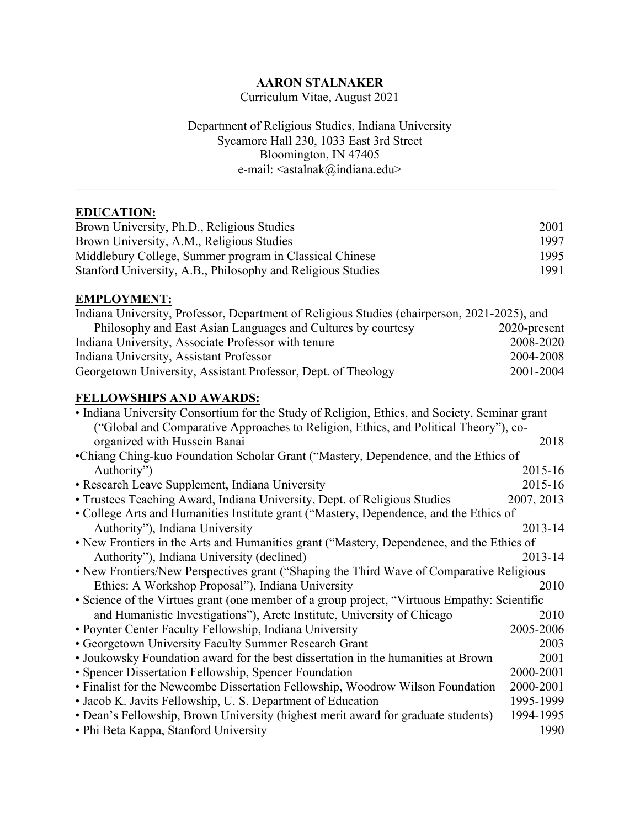# **AARON STALNAKER**

Curriculum Vitae, August 2021

# Department of Religious Studies, Indiana University Sycamore Hall 230, 1033 East 3rd Street Bloomington, IN 47405 e-mail: <astalnak@indiana.edu>

 $\mathcal{L} = \{ \mathcal{L} = \{ \mathcal{L} = \{ \mathcal{L} = \mathcal{L} \} \mid \mathcal{L} = \{ \mathcal{L} = \{ \mathcal{L} = \mathcal{L} \} \mid \mathcal{L} = \{ \mathcal{L} = \{ \mathcal{L} = \mathcal{L} = \mathcal{L} = \{ \mathcal{L} = \mathcal{L} = \mathcal{L} = \mathcal{L} = \mathcal{L} = \mathcal{L} \} \}$ 

# **EDUCATION:**

| Brown University, Ph.D., Religious Studies                  | 2001 |
|-------------------------------------------------------------|------|
| Brown University, A.M., Religious Studies                   | 1997 |
| Middlebury College, Summer program in Classical Chinese     | 1995 |
| Stanford University, A.B., Philosophy and Religious Studies | 1991 |

## **EMPLOYMENT:**

| Indiana University, Professor, Department of Religious Studies (chairperson, 2021-2025), and |                 |
|----------------------------------------------------------------------------------------------|-----------------|
| Philosophy and East Asian Languages and Cultures by courtesy                                 | $2020$ -present |
| Indiana University, Associate Professor with tenure                                          | 2008-2020       |
| Indiana University, Assistant Professor                                                      | 2004-2008       |
| Georgetown University, Assistant Professor, Dept. of Theology                                | 2001-2004       |

# **FELLOWSHIPS AND AWARDS:**

| • Indiana University Consortium for the Study of Religion, Ethics, and Society, Seminar grant |            |  |
|-----------------------------------------------------------------------------------------------|------------|--|
| ("Global and Comparative Approaches to Religion, Ethics, and Political Theory"), co-          |            |  |
| organized with Hussein Banai                                                                  | 2018       |  |
| •Chiang Ching-kuo Foundation Scholar Grant ("Mastery, Dependence, and the Ethics of           |            |  |
| Authority")                                                                                   | 2015-16    |  |
| • Research Leave Supplement, Indiana University                                               | 2015-16    |  |
| • Trustees Teaching Award, Indiana University, Dept. of Religious Studies                     | 2007, 2013 |  |
| • College Arts and Humanities Institute grant ("Mastery, Dependence, and the Ethics of        |            |  |
| Authority"), Indiana University                                                               | 2013-14    |  |
| • New Frontiers in the Arts and Humanities grant ("Mastery, Dependence, and the Ethics of     |            |  |
| Authority"), Indiana University (declined)                                                    | 2013-14    |  |
| • New Frontiers/New Perspectives grant ("Shaping the Third Wave of Comparative Religious      |            |  |
| Ethics: A Workshop Proposal"), Indiana University                                             | 2010       |  |
| • Science of the Virtues grant (one member of a group project, "Virtuous Empathy: Scientific  |            |  |
| and Humanistic Investigations"), Arete Institute, University of Chicago                       | 2010       |  |
| • Poynter Center Faculty Fellowship, Indiana University                                       | 2005-2006  |  |
| • Georgetown University Faculty Summer Research Grant                                         | 2003       |  |
| • Joukowsky Foundation award for the best dissertation in the humanities at Brown             | 2001       |  |
| • Spencer Dissertation Fellowship, Spencer Foundation                                         | 2000-2001  |  |
| • Finalist for the Newcombe Dissertation Fellowship, Woodrow Wilson Foundation                | 2000-2001  |  |
| • Jacob K. Javits Fellowship, U. S. Department of Education                                   | 1995-1999  |  |
| • Dean's Fellowship, Brown University (highest merit award for graduate students)             | 1994-1995  |  |
| • Phi Beta Kappa, Stanford University                                                         | 1990       |  |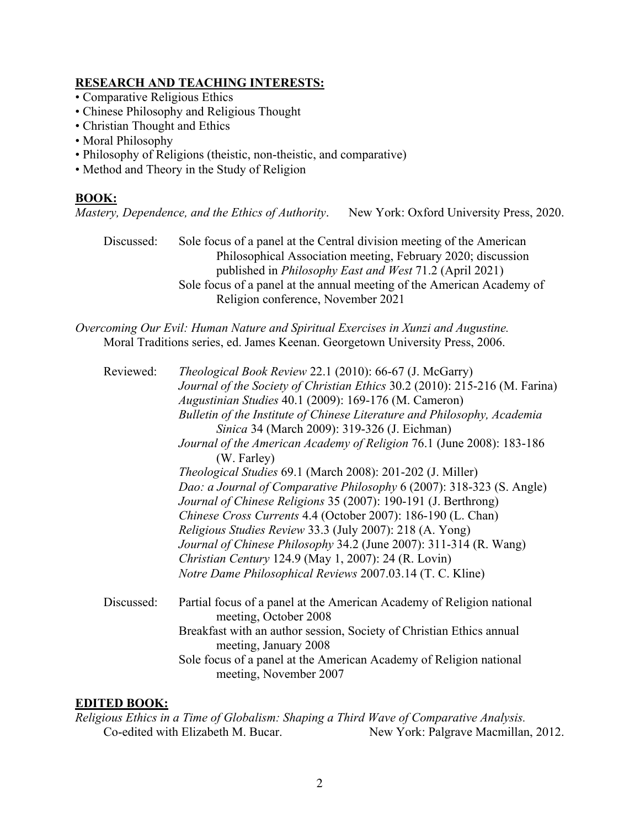## **RESEARCH AND TEACHING INTERESTS:**

- Comparative Religious Ethics
- Chinese Philosophy and Religious Thought
- Christian Thought and Ethics
- Moral Philosophy
- Philosophy of Religions (theistic, non-theistic, and comparative)
- Method and Theory in the Study of Religion

# **BOOK:**

*Mastery, Dependence, and the Ethics of Authority*. New York: Oxford University Press, 2020.

Discussed: Sole focus of a panel at the Central division meeting of the American Philosophical Association meeting, February 2020; discussion published in *Philosophy East and West* 71.2 (April 2021) Sole focus of a panel at the annual meeting of the American Academy of Religion conference, November 2021

*Overcoming Our Evil: Human Nature and Spiritual Exercises in Xunzi and Augustine.* Moral Traditions series, ed. James Keenan. Georgetown University Press, 2006.

| Reviewed:  | <i>Theological Book Review 22.1 (2010): 66-67 (J. McGarry)</i><br>Journal of the Society of Christian Ethics 30.2 (2010): 215-216 (M. Farina)<br>Augustinian Studies 40.1 (2009): 169-176 (M. Cameron)<br>Bulletin of the Institute of Chinese Literature and Philosophy, Academia<br>Sinica 34 (March 2009): 319-326 (J. Eichman)<br>Journal of the American Academy of Religion 76.1 (June 2008): 183-186<br>(W. Farley)<br><i>Theological Studies</i> 69.1 (March 2008): 201-202 (J. Miller)<br>Dao: a Journal of Comparative Philosophy 6 (2007): 318-323 (S. Angle)<br>Journal of Chinese Religions 35 (2007): 190-191 (J. Berthrong)<br>Chinese Cross Currents 4.4 (October 2007): 186-190 (L. Chan)<br>Religious Studies Review 33.3 (July 2007): 218 (A. Yong)<br>Journal of Chinese Philosophy 34.2 (June 2007): 311-314 (R. Wang)<br><i>Christian Century</i> 124.9 (May 1, 2007): 24 (R. Lovin)<br>Notre Dame Philosophical Reviews 2007.03.14 (T. C. Kline) |
|------------|-------------------------------------------------------------------------------------------------------------------------------------------------------------------------------------------------------------------------------------------------------------------------------------------------------------------------------------------------------------------------------------------------------------------------------------------------------------------------------------------------------------------------------------------------------------------------------------------------------------------------------------------------------------------------------------------------------------------------------------------------------------------------------------------------------------------------------------------------------------------------------------------------------------------------------------------------------------------------|
| Discussed: | Partial focus of a panel at the American Academy of Religion national<br>meeting, October 2008<br>Breakfast with an author session, Society of Christian Ethics annual                                                                                                                                                                                                                                                                                                                                                                                                                                                                                                                                                                                                                                                                                                                                                                                                  |
|            | meeting, January 2008<br>Sole focus of a panel at the American Academy of Religion national<br>meeting, November 2007                                                                                                                                                                                                                                                                                                                                                                                                                                                                                                                                                                                                                                                                                                                                                                                                                                                   |

## **EDITED BOOK:**

*Religious Ethics in a Time of Globalism: Shaping a Third Wave of Comparative Analysis.* Co-edited with Elizabeth M. Bucar. New York: Palgrave Macmillan, 2012.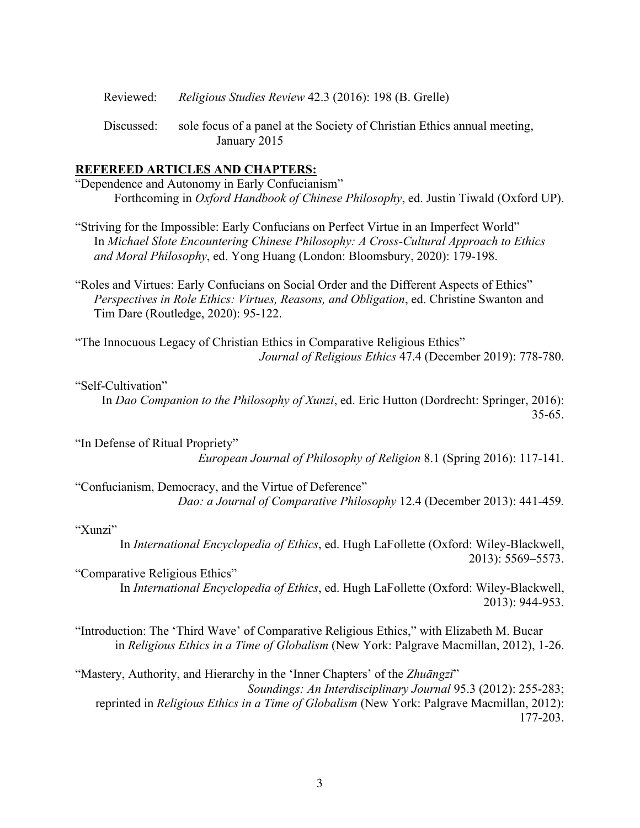Reviewed: *Religious Studies Review* 42.3 (2016): 198 (B. Grelle)

Discussed: sole focus of a panel at the Society of Christian Ethics annual meeting, January 2015

### **REFEREED ARTICLES AND CHAPTERS:**

"Dependence and Autonomy in Early Confucianism" Forthcoming in *Oxford Handbook of Chinese Philosophy*, ed. Justin Tiwald (Oxford UP).

"Striving for the Impossible: Early Confucians on Perfect Virtue in an Imperfect World" In *Michael Slote Encountering Chinese Philosophy: A Cross-Cultural Approach to Ethics and Moral Philosophy*, ed. Yong Huang (London: Bloomsbury, 2020): 179-198.

"Roles and Virtues: Early Confucians on Social Order and the Different Aspects of Ethics" *Perspectives in Role Ethics: Virtues, Reasons, and Obligation*, ed. Christine Swanton and Tim Dare (Routledge, 2020): 95-122.

"The Innocuous Legacy of Christian Ethics in Comparative Religious Ethics" *Journal of Religious Ethics* 47.4 (December 2019): 778-780.

## "Self-Cultivation"

In *Dao Companion to the Philosophy of Xunzi*, ed. Eric Hutton (Dordrecht: Springer, 2016): 35-65.

"In Defense of Ritual Propriety" *European Journal of Philosophy of Religion* 8.1 (Spring 2016): 117-141.

"Confucianism, Democracy, and the Virtue of Deference" *Dao: a Journal of Comparative Philosophy* 12.4 (December 2013): 441-459*.*

#### "Xunzi"

In *International Encyclopedia of Ethics*, ed. Hugh LaFollette (Oxford: Wiley-Blackwell, 2013): 5569–5573.

"Comparative Religious Ethics"

In *International Encyclopedia of Ethics*, ed. Hugh LaFollette (Oxford: Wiley-Blackwell, 2013): 944-953.

"Introduction: The 'Third Wave' of Comparative Religious Ethics," with Elizabeth M. Bucar in *Religious Ethics in a Time of Globalism* (New York: Palgrave Macmillan, 2012), 1-26.

"Mastery, Authority, and Hierarchy in the 'Inner Chapters' of the *Zhuāngzǐ*" *Soundings: An Interdisciplinary Journal* 95.3 (2012): 255-283; reprinted in *Religious Ethics in a Time of Globalism* (New York: Palgrave Macmillan, 2012): 177-203.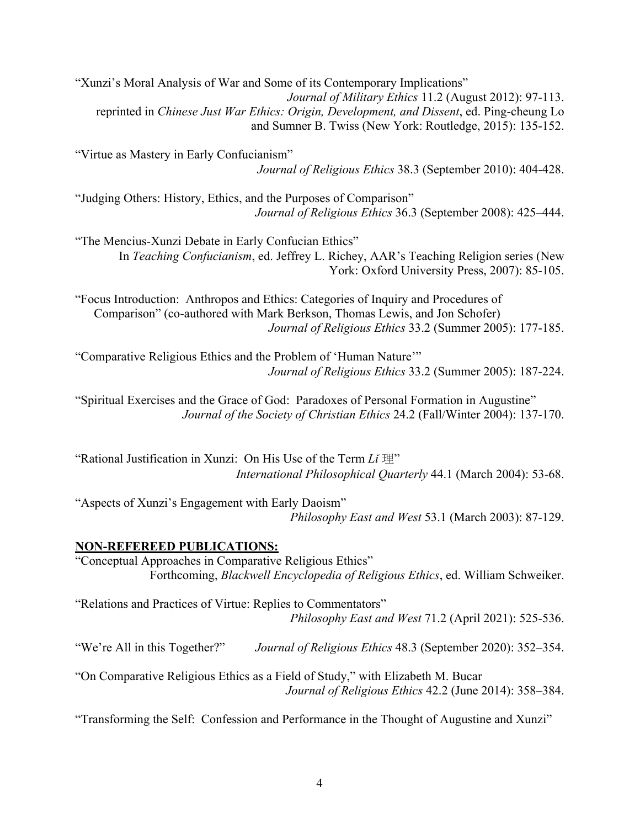"Xunzi's Moral Analysis of War and Some of its Contemporary Implications" *Journal of Military Ethics* 11.2 (August 2012): 97-113. reprinted in *Chinese Just War Ethics: Origin, Development, and Dissent*, ed. Ping-cheung Lo and Sumner B. Twiss (New York: Routledge, 2015): 135-152.

"Virtue as Mastery in Early Confucianism" *Journal of Religious Ethics* 38.3 (September 2010): 404-428.

"Judging Others: History, Ethics, and the Purposes of Comparison" *Journal of Religious Ethics* 36.3 (September 2008): 425–444.

"The Mencius-Xunzi Debate in Early Confucian Ethics" In *Teaching Confucianism*, ed. Jeffrey L. Richey, AAR's Teaching Religion series (New York: Oxford University Press, 2007): 85-105.

"Focus Introduction: Anthropos and Ethics: Categories of Inquiry and Procedures of Comparison" (co-authored with Mark Berkson, Thomas Lewis, and Jon Schofer) *Journal of Religious Ethics* 33.2 (Summer 2005): 177-185.

"Comparative Religious Ethics and the Problem of 'Human Nature'" *Journal of Religious Ethics* 33.2 (Summer 2005): 187-224.

"Spiritual Exercises and the Grace of God: Paradoxes of Personal Formation in Augustine" *Journal of the Society of Christian Ethics* 24.2 (Fall/Winter 2004): 137-170.

"Rational Justification in Xunzi: On His Use of the Term *Lǐ* 理" *International Philosophical Quarterly* 44.1 (March 2004): 53-68.

"Aspects of Xunzi's Engagement with Early Daoism" *Philosophy East and West* 53.1 (March 2003): 87-129.

# **NON-REFEREED PUBLICATIONS:**

"Conceptual Approaches in Comparative Religious Ethics" Forthcoming, *Blackwell Encyclopedia of Religious Ethics*, ed. William Schweiker.

"Relations and Practices of Virtue: Replies to Commentators" *Philosophy East and West* 71.2 (April 2021): 525-536.

"We're All in this Together?" *Journal of Religious Ethics* 48.3 (September 2020): 352–354.

"On Comparative Religious Ethics as a Field of Study," with Elizabeth M. Bucar *Journal of Religious Ethics* 42.2 (June 2014): 358–384.

"Transforming the Self: Confession and Performance in the Thought of Augustine and Xunzi"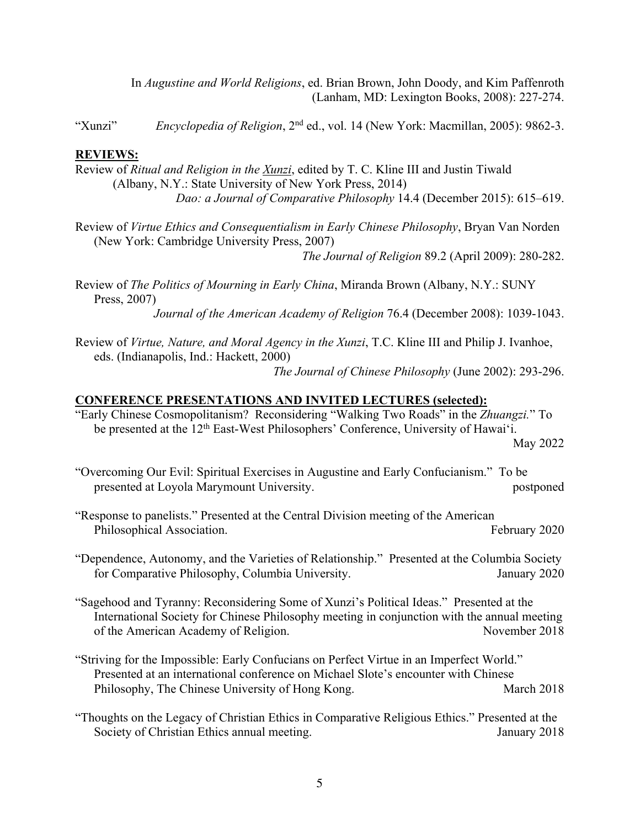In *Augustine and World Religions*, ed. Brian Brown, John Doody, and Kim Paffenroth (Lanham, MD: Lexington Books, 2008): 227-274.

"Xunzi" *Encyclopedia of Religion*, 2<sup>nd</sup> ed., vol. 14 (New York: Macmillan, 2005): 9862-3.

## **REVIEWS:**

Review of *Ritual and Religion in the Xunzi*, edited by T. C. Kline III and Justin Tiwald (Albany, N.Y.: State University of New York Press, 2014) *Dao: a Journal of Comparative Philosophy* 14.4 (December 2015): 615–619.

Review of *Virtue Ethics and Consequentialism in Early Chinese Philosophy*, Bryan Van Norden (New York: Cambridge University Press, 2007)

*The Journal of Religion* 89.2 (April 2009): 280-282.

Review of *The Politics of Mourning in Early China*, Miranda Brown (Albany, N.Y.: SUNY Press, 2007)

*Journal of the American Academy of Religion* 76.4 (December 2008): 1039-1043.

Review of *Virtue, Nature, and Moral Agency in the Xunzi*, T.C. Kline III and Philip J. Ivanhoe, eds. (Indianapolis, Ind.: Hackett, 2000)

*The Journal of Chinese Philosophy* (June 2002): 293-296.

## **CONFERENCE PRESENTATIONS AND INVITED LECTURES (selected):**

"Early Chinese Cosmopolitanism? Reconsidering "Walking Two Roads" in the *Zhuangzi.*" To be presented at the 12<sup>th</sup> East-West Philosophers' Conference, University of Hawai'i. May 2022

- "Overcoming Our Evil: Spiritual Exercises in Augustine and Early Confucianism." To be presented at Loyola Marymount University. postponed postponed
- "Response to panelists." Presented at the Central Division meeting of the American Philosophical Association. February 2020

"Dependence, Autonomy, and the Varieties of Relationship." Presented at the Columbia Society for Comparative Philosophy, Columbia University. January 2020

"Sagehood and Tyranny: Reconsidering Some of Xunzi's Political Ideas." Presented at the International Society for Chinese Philosophy meeting in conjunction with the annual meeting of the American Academy of Religion. November 2018

"Striving for the Impossible: Early Confucians on Perfect Virtue in an Imperfect World." Presented at an international conference on Michael Slote's encounter with Chinese Philosophy, The Chinese University of Hong Kong. March 2018

"Thoughts on the Legacy of Christian Ethics in Comparative Religious Ethics." Presented at the Society of Christian Ethics annual meeting. January 2018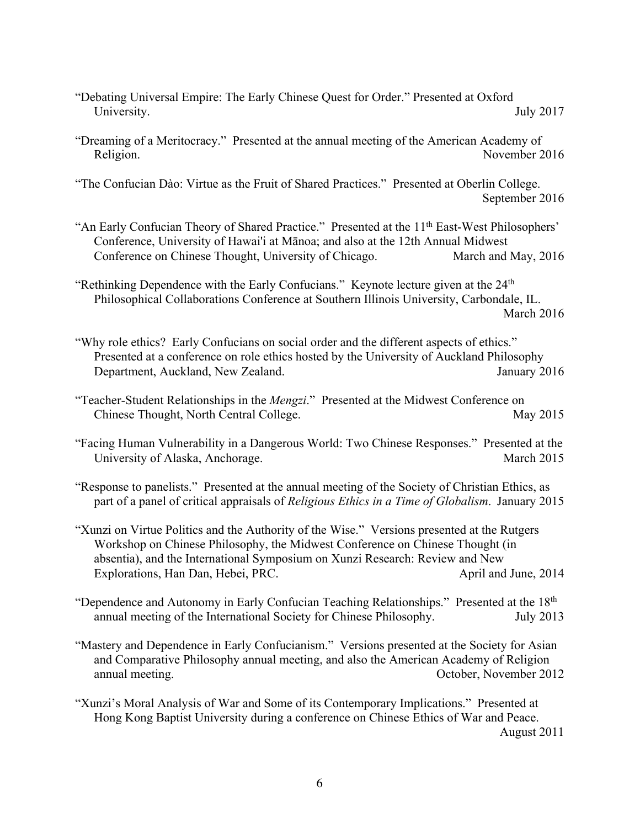"Debating Universal Empire: The Early Chinese Quest for Order." Presented at Oxford University. July 2017

"Dreaming of a Meritocracy." Presented at the annual meeting of the American Academy of Religion. November 2016

"The Confucian Dào: Virtue as the Fruit of Shared Practices." Presented at Oberlin College. September 2016

- "An Early Confucian Theory of Shared Practice." Presented at the 11<sup>th</sup> East-West Philosophers' Conference, University of Hawai'i at Mānoa; and also at the 12th Annual Midwest Conference on Chinese Thought, University of Chicago. March and May, 2016
- "Rethinking Dependence with the Early Confucians." Keynote lecture given at the 24<sup>th</sup> Philosophical Collaborations Conference at Southern Illinois University, Carbondale, IL. March 2016
- "Why role ethics? Early Confucians on social order and the different aspects of ethics." Presented at a conference on role ethics hosted by the University of Auckland Philosophy Department, Auckland, New Zealand. Ianuary 2016
- "Teacher-Student Relationships in the *Mengzi*." Presented at the Midwest Conference on Chinese Thought, North Central College. May 2015
- "Facing Human Vulnerability in a Dangerous World: Two Chinese Responses." Presented at the University of Alaska, Anchorage. March 2015

"Response to panelists." Presented at the annual meeting of the Society of Christian Ethics, as part of a panel of critical appraisals of *Religious Ethics in a Time of Globalism*. January 2015

- "Xunzi on Virtue Politics and the Authority of the Wise." Versions presented at the Rutgers Workshop on Chinese Philosophy, the Midwest Conference on Chinese Thought (in absentia), and the International Symposium on Xunzi Research: Review and New Explorations, Han Dan, Hebei, PRC. April and June, 2014
- "Dependence and Autonomy in Early Confucian Teaching Relationships." Presented at the 18<sup>th</sup> annual meeting of the International Society for Chinese Philosophy. July 2013
- "Mastery and Dependence in Early Confucianism." Versions presented at the Society for Asian and Comparative Philosophy annual meeting, and also the American Academy of Religion annual meeting. October, November 2012

"Xunzi's Moral Analysis of War and Some of its Contemporary Implications." Presented at Hong Kong Baptist University during a conference on Chinese Ethics of War and Peace. August 2011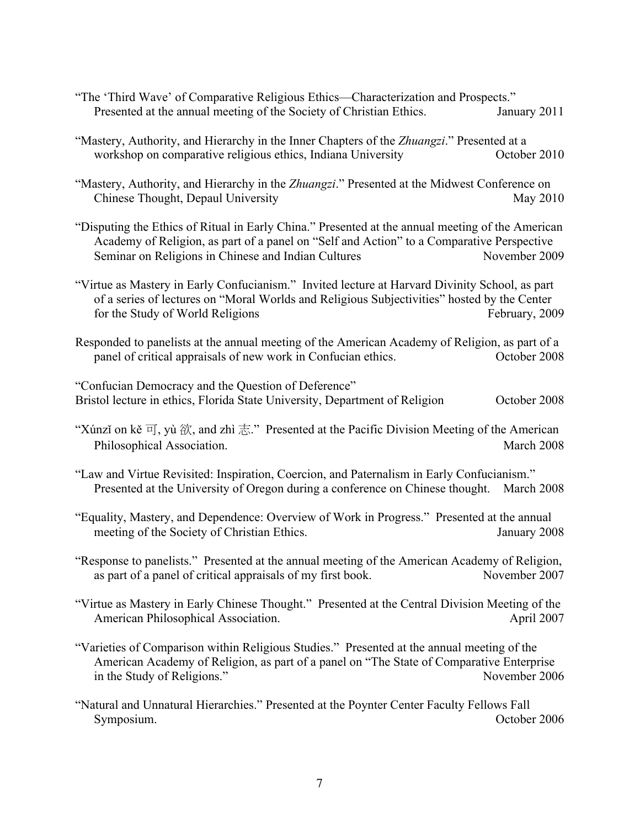- "The 'Third Wave' of Comparative Religious Ethics—Characterization and Prospects." Presented at the annual meeting of the Society of Christian Ethics. January 2011
- "Mastery, Authority, and Hierarchy in the Inner Chapters of the *Zhuangzi*." Presented at a workshop on comparative religious ethics, Indiana University Corober 2010
- "Mastery, Authority, and Hierarchy in the *Zhuangzi*." Presented at the Midwest Conference on Chinese Thought, Depaul University May 2010
- "Disputing the Ethics of Ritual in Early China." Presented at the annual meeting of the American Academy of Religion, as part of a panel on "Self and Action" to a Comparative Perspective Seminar on Religions in Chinese and Indian Cultures November 2009
- "Virtue as Mastery in Early Confucianism." Invited lecture at Harvard Divinity School, as part of a series of lectures on "Moral Worlds and Religious Subjectivities" hosted by the Center for the Study of World Religions February, 2009
- Responded to panelists at the annual meeting of the American Academy of Religion, as part of a panel of critical appraisals of new work in Confucian ethics. October 2008

"Confucian Democracy and the Question of Deference" Bristol lecture in ethics, Florida State University, Department of Religion October 2008

- "Xúnzi on kě  $\overline{q}$ , yù  $\overline{q}$ , and zhì  $\overline{q}$ ." Presented at the Pacific Division Meeting of the American Philosophical Association. March 2008
- "Law and Virtue Revisited: Inspiration, Coercion, and Paternalism in Early Confucianism." Presented at the University of Oregon during a conference on Chinese thought. March 2008
- "Equality, Mastery, and Dependence: Overview of Work in Progress." Presented at the annual meeting of the Society of Christian Ethics. January 2008
- "Response to panelists." Presented at the annual meeting of the American Academy of Religion, as part of a panel of critical appraisals of my first book. November 2007
- "Virtue as Mastery in Early Chinese Thought." Presented at the Central Division Meeting of the American Philosophical Association. April 2007
- "Varieties of Comparison within Religious Studies." Presented at the annual meeting of the American Academy of Religion, as part of a panel on "The State of Comparative Enterprise in the Study of Religions." November 2006
- "Natural and Unnatural Hierarchies." Presented at the Poynter Center Faculty Fellows Fall Symposium. October 2006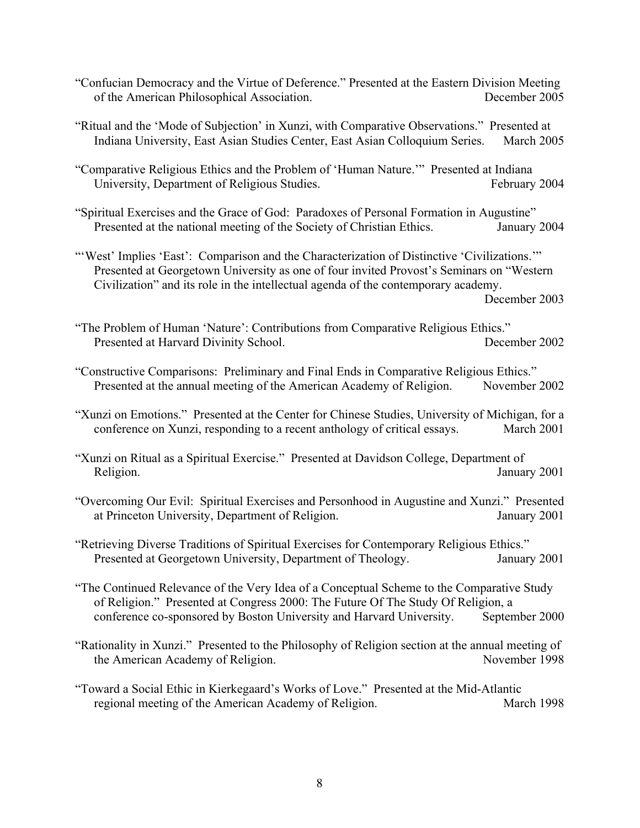- "Confucian Democracy and the Virtue of Deference." Presented at the Eastern Division Meeting of the American Philosophical Association. December 2005
- "Ritual and the 'Mode of Subjection' in Xunzi, with Comparative Observations." Presented at Indiana University, East Asian Studies Center, East Asian Colloquium Series. March 2005
- "Comparative Religious Ethics and the Problem of 'Human Nature.'" Presented at Indiana University, Department of Religious Studies. February 2004
- "Spiritual Exercises and the Grace of God: Paradoxes of Personal Formation in Augustine" Presented at the national meeting of the Society of Christian Ethics. January 2004
- "'West' Implies 'East': Comparison and the Characterization of Distinctive 'Civilizations." Presented at Georgetown University as one of four invited Provost's Seminars on "Western Civilization" and its role in the intellectual agenda of the contemporary academy.

December 2003

- "The Problem of Human 'Nature': Contributions from Comparative Religious Ethics." Presented at Harvard Divinity School. December 2002
- "Constructive Comparisons: Preliminary and Final Ends in Comparative Religious Ethics." Presented at the annual meeting of the American Academy of Religion. November 2002
- "Xunzi on Emotions." Presented at the Center for Chinese Studies, University of Michigan, for a conference on Xunzi, responding to a recent anthology of critical essays. March 2001
- "Xunzi on Ritual as a Spiritual Exercise." Presented at Davidson College, Department of Religion. January 2001
- "Overcoming Our Evil: Spiritual Exercises and Personhood in Augustine and Xunzi." Presented at Princeton University, Department of Religion. January 2001
- "Retrieving Diverse Traditions of Spiritual Exercises for Contemporary Religious Ethics." Presented at Georgetown University, Department of Theology. January 2001
- "The Continued Relevance of the Very Idea of a Conceptual Scheme to the Comparative Study of Religion." Presented at Congress 2000: The Future Of The Study Of Religion, a conference co-sponsored by Boston University and Harvard University. September 2000
- "Rationality in Xunzi." Presented to the Philosophy of Religion section at the annual meeting of the American Academy of Religion. November 1998
- "Toward a Social Ethic in Kierkegaard's Works of Love." Presented at the Mid-Atlantic regional meeting of the American Academy of Religion. March 1998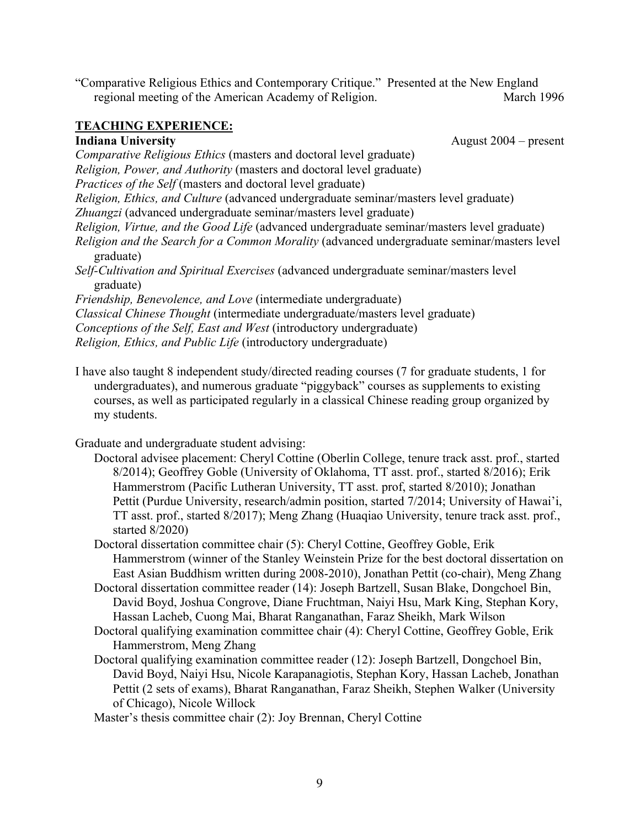"Comparative Religious Ethics and Contemporary Critique." Presented at the New England regional meeting of the American Academy of Religion. March 1996

## **TEACHING EXPERIENCE: Indiana University** August 2004 – present

*Comparative Religious Ethics* (masters and doctoral level graduate) *Religion, Power, and Authority* (masters and doctoral level graduate)

*Practices of the Self* (masters and doctoral level graduate)

*Religion, Ethics, and Culture* (advanced undergraduate seminar/masters level graduate)

*Zhuangzi* (advanced undergraduate seminar/masters level graduate)

*Religion, Virtue, and the Good Life* (advanced undergraduate seminar/masters level graduate)

*Religion and the Search for a Common Morality* (advanced undergraduate seminar/masters level graduate)

*Self-Cultivation and Spiritual Exercises* (advanced undergraduate seminar/masters level graduate)

*Friendship, Benevolence, and Love* (intermediate undergraduate)

*Classical Chinese Thought* (intermediate undergraduate/masters level graduate)

*Conceptions of the Self, East and West* (introductory undergraduate)

*Religion, Ethics, and Public Life* (introductory undergraduate)

I have also taught 8 independent study/directed reading courses (7 for graduate students, 1 for undergraduates), and numerous graduate "piggyback" courses as supplements to existing courses, as well as participated regularly in a classical Chinese reading group organized by my students.

Graduate and undergraduate student advising:

Doctoral advisee placement: Cheryl Cottine (Oberlin College, tenure track asst. prof., started 8/2014); Geoffrey Goble (University of Oklahoma, TT asst. prof., started 8/2016); Erik Hammerstrom (Pacific Lutheran University, TT asst. prof, started 8/2010); Jonathan Pettit (Purdue University, research/admin position, started 7/2014; University of Hawai'i, TT asst. prof., started 8/2017); Meng Zhang (Huaqiao University, tenure track asst. prof., started 8/2020)

Doctoral dissertation committee chair (5): Cheryl Cottine, Geoffrey Goble, Erik Hammerstrom (winner of the Stanley Weinstein Prize for the best doctoral dissertation on East Asian Buddhism written during 2008-2010), Jonathan Pettit (co-chair), Meng Zhang

Doctoral dissertation committee reader (14): Joseph Bartzell, Susan Blake, Dongchoel Bin, David Boyd, Joshua Congrove, Diane Fruchtman, Naiyi Hsu, Mark King, Stephan Kory, Hassan Lacheb, Cuong Mai, Bharat Ranganathan, Faraz Sheikh, Mark Wilson

Doctoral qualifying examination committee chair (4): Cheryl Cottine, Geoffrey Goble, Erik Hammerstrom, Meng Zhang

Doctoral qualifying examination committee reader (12): Joseph Bartzell, Dongchoel Bin, David Boyd, Naiyi Hsu, Nicole Karapanagiotis, Stephan Kory, Hassan Lacheb, Jonathan Pettit (2 sets of exams), Bharat Ranganathan, Faraz Sheikh, Stephen Walker (University of Chicago), Nicole Willock

Master's thesis committee chair (2): Joy Brennan, Cheryl Cottine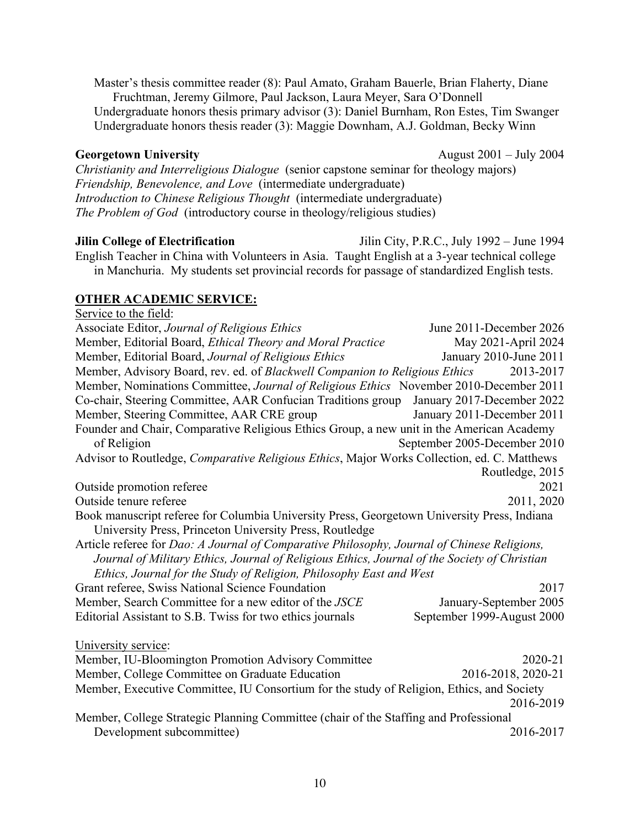Master's thesis committee reader (8): Paul Amato, Graham Bauerle, Brian Flaherty, Diane Fruchtman, Jeremy Gilmore, Paul Jackson, Laura Meyer, Sara O'Donnell Undergraduate honors thesis primary advisor (3): Daniel Burnham, Ron Estes, Tim Swanger Undergraduate honors thesis reader (3): Maggie Downham, A.J. Goldman, Becky Winn

*Christianity and Interreligious Dialogue* (senior capstone seminar for theology majors) *Friendship, Benevolence, and Love* (intermediate undergraduate) *Introduction to Chinese Religious Thought* (intermediate undergraduate) *The Problem of God* (introductory course in theology/religious studies)

**Jilin College of Electrification** Jilin City, P.R.C., July 1992 – June 1994 English Teacher in China with Volunteers in Asia. Taught English at a 3-year technical college in Manchuria. My students set provincial records for passage of standardized English tests.

# **OTHER ACADEMIC SERVICE:**

Service to the field: Associate Editor, *Journal of Religious Ethics* June 2011-December 2026 Member, Editorial Board, *Ethical Theory and Moral Practice* May 2021-April 2024 Member, Editorial Board, *Journal of Religious Ethics* January 2010-June 2011 Member, Advisory Board, rev. ed. of *Blackwell Companion to Religious Ethics* 2013-2017 Member, Nominations Committee, *Journal of Religious Ethics* November 2010-December 2011 Co-chair, Steering Committee, AAR Confucian Traditions group January 2017-December 2022 Member, Steering Committee, AAR CRE group January 2011-December 2011 Founder and Chair, Comparative Religious Ethics Group, a new unit in the American Academy of Religion September 2005-December 2010 Advisor to Routledge, *Comparative Religious Ethics*, Major Works Collection, ed. C. Matthews Routledge, 2015 Outside promotion referee 2021 Outside tenure referee 2011, 2020 Book manuscript referee for Columbia University Press, Georgetown University Press, Indiana University Press, Princeton University Press, Routledge Article referee for *Dao: A Journal of Comparative Philosophy, Journal of Chinese Religions, Journal of Military Ethics, Journal of Religious Ethics, Journal of the Society of Christian Ethics, Journal for the Study of Religion, Philosophy East and West* Grant referee, Swiss National Science Foundation 2017 Member, Search Committee for a new editor of the *JSCE* January-September 2005 Editorial Assistant to S.B. Twiss for two ethics journals September 1999-August 2000 University service: Member, IU-Bloomington Promotion Advisory Committee 2020-21 Member, College Committee on Graduate Education 2016-2018, 2020-21 Member, Executive Committee, IU Consortium for the study of Religion, Ethics, and Society 2016-2019 Member, College Strategic Planning Committee (chair of the Staffing and Professional Development subcommittee) 2016-2017

**Georgetown University** August 2001 – July 2004